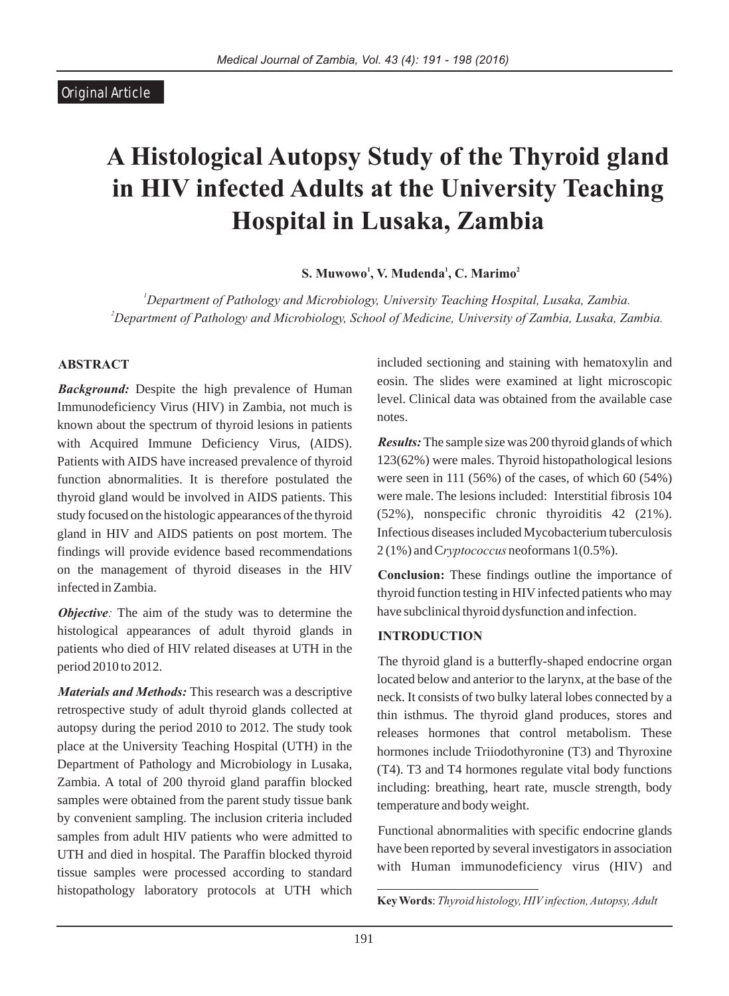# Original Article

# **A Histological Autopsy Study of the Thyroid gland in HIV infected Adults at the University Teaching Hospital in Lusaka, Zambia**

**1 1 2 S. Muwowo , V. Mudenda , C. Marimo**

*<sup>1</sup>Department of Pathology and Microbiology, University Teaching Hospital, Lusaka, Zambia. <sup>2</sup>Department of Pathology and Microbiology, School of Medicine, University of Zambia, Lusaka, Zambia.*

#### **ABSTRACT**

*Background:* Despite the high prevalence of Human Immunodeficiency Virus (HIV) in Zambia, not much is known about the spectrum of thyroid lesions in patients with Acquired Immune Deficiency Virus, (AIDS). Patients with AIDS have increased prevalence of thyroid function abnormalities. It is therefore postulated the thyroid gland would be involved in AIDS patients. This study focused on the histologic appearances of the thyroid gland in HIV and AIDS patients on post mortem. The findings will provide evidence based recommendations on the management of thyroid diseases in the HIV infected in Zambia.

*Objective*: The aim of the study was to determine the histological appearances of adult thyroid glands in patients who died of HIV related diseases at UTH in the period 2010 to 2012.

*Materials and Methods:* This research was a descriptive retrospective study of adult thyroid glands collected at autopsy during the period 2010 to 2012. The study took place at the University Teaching Hospital (UTH) in the Department of Pathology and Microbiology in Lusaka, Zambia. A total of 200 thyroid gland paraffin blocked samples were obtained from the parent study tissue bank by convenient sampling. The inclusion criteria included samples from adult HIV patients who were admitted to UTH and died in hospital. The Paraffin blocked thyroid tissue samples were processed according to standard histopathology laboratory protocols at UTH which

included sectioning and staining with hematoxylin and eosin. The slides were examined at light microscopic level. Clinical data was obtained from the available case notes.

*Results:*The sample size was 200 thyroid glands of which 123(62%) were males. Thyroid histopathological lesions were seen in 111 (56%) of the cases, of which 60 (54%) were male. The lesions included: Interstitial fibrosis 104 (52%), nonspecific chronic thyroiditis 42 (21%). Infectious diseases included Mycobacterium tuberculosis 2 (1%) and C*ryptococcus* neoformans 1(0.5%).

**Conclusion:** These findings outline the importance of thyroid function testing in HIV infected patients who may have subclinical thyroid dysfunction and infection.

#### **INTRODUCTION**

The thyroid gland is a butterfly-shaped endocrine organ located below and anterior to the larynx, at the base of the neck. It consists of two bulky lateral lobes connected by a thin isthmus. The thyroid gland produces, stores and releases hormones that control metabolism. These hormones include Triiodothyronine (T3) and Thyroxine (T4). T3 and T4 hormones regulate vital body functions including: breathing, heart rate, muscle strength, body temperature and body weight.

Functional abnormalities with specific endocrine glands have been reported by several investigators in association with Human immunodeficiency virus (HIV) and

**Key Words**: *Thyroid histology, HIV infection, Autopsy, Adult*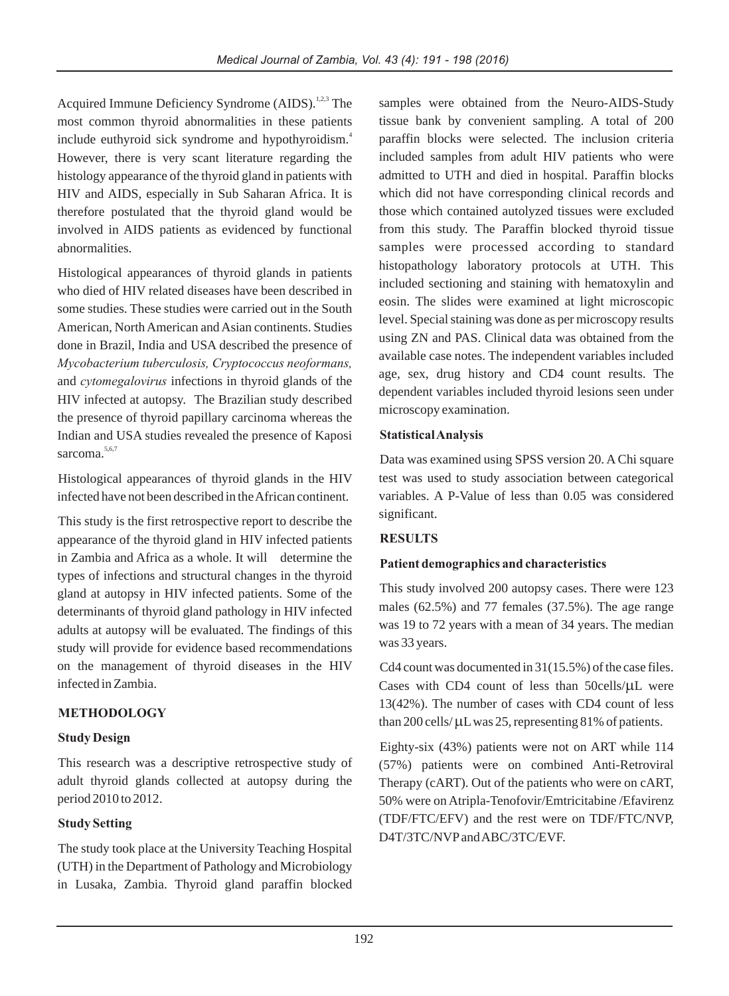Acquired Immune Deficiency Syndrome (AIDS).<sup>1,2,3</sup> The most common thyroid abnormalities in these patients include euthyroid sick syndrome and hypothyroidism.<sup>4</sup> However, there is very scant literature regarding the histology appearance of the thyroid gland in patients with HIV and AIDS, especially in Sub Saharan Africa. It is therefore postulated that the thyroid gland would be involved in AIDS patients as evidenced by functional abnormalities.

Histological appearances of thyroid glands in patients who died of HIV related diseases have been described in some studies. These studies were carried out in the South American, North American and Asian continents. Studies done in Brazil, India and USA described the presence of *Mycobacterium tuberculosis, Cryptococcus neoformans,*  and *cytomegalovirus* infections in thyroid glands of the HIV infected at autopsy. The Brazilian study described the presence of thyroid papillary carcinoma whereas the Indian and USA studies revealed the presence of Kaposi sarcoma.<sup>5,6,7</sup>

Histological appearances of thyroid glands in the HIV infected have not been described in the African continent.

This study is the first retrospective report to describe the appearance of the thyroid gland in HIV infected patients in Zambia and Africa as a whole. It will determine the types of infections and structural changes in the thyroid gland at autopsy in HIV infected patients. Some of the determinants of thyroid gland pathology in HIV infected adults at autopsy will be evaluated. The findings of this study will provide for evidence based recommendations on the management of thyroid diseases in the HIV infected in Zambia.

# **METHODOLOGY**

#### **Study Design**

This research was a descriptive retrospective study of adult thyroid glands collected at autopsy during the period 2010 to 2012.

#### **Study Setting**

The study took place at the University Teaching Hospital (UTH) in the Department of Pathology and Microbiology in Lusaka, Zambia. Thyroid gland paraffin blocked

samples were obtained from the Neuro-AIDS-Study tissue bank by convenient sampling. A total of 200 paraffin blocks were selected. The inclusion criteria included samples from adult HIV patients who were admitted to UTH and died in hospital. Paraffin blocks which did not have corresponding clinical records and those which contained autolyzed tissues were excluded from this study. The Paraffin blocked thyroid tissue samples were processed according to standard histopathology laboratory protocols at UTH. This included sectioning and staining with hematoxylin and eosin. The slides were examined at light microscopic level. Special staining was done as per microscopy results using ZN and PAS. Clinical data was obtained from the available case notes. The independent variables included age, sex, drug history and CD4 count results. The dependent variables included thyroid lesions seen under microscopy examination.

## **Statistical Analysis**

Data was examined using SPSS version 20. A Chi square test was used to study association between categorical variables. A P-Value of less than 0.05 was considered significant.

#### **RESULTS**

# **Patient demographics and characteristics**

This study involved 200 autopsy cases. There were 123 males (62.5%) and 77 females (37.5%). The age range was 19 to 72 years with a mean of 34 years. The median was 33 years.

Cd4 count was documented in 31(15.5%) of the case files. Cases with CD4 count of less than  $50 \text{cells/}\mu\text{L}$  were 13(42%). The number of cases with CD4 count of less than 200 cells/ $\mu$ L was 25, representing 81% of patients.

Eighty-six (43%) patients were not on ART while 114 (57%) patients were on combined Anti-Retroviral Therapy (cART). Out of the patients who were on cART, 50% were on Atripla-Tenofovir/Emtricitabine /Efavirenz (TDF/FTC/EFV) and the rest were on TDF/FTC/NVP, D4T/3TC/NVP and ABC/3TC/EVF.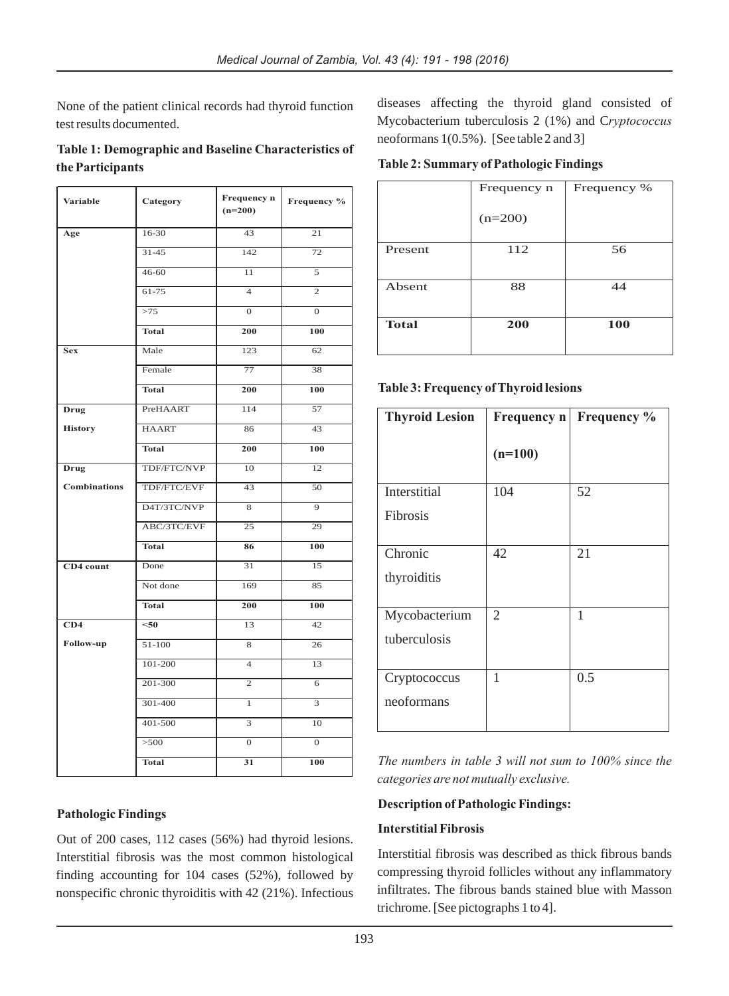None of the patient clinical records had thyroid function test results documented.

**Table 1: Demographic and Baseline Characteristics of the Participants**

| Variable            | Category        | Frequency n<br>$(n=200)$ | Frequency %     |
|---------------------|-----------------|--------------------------|-----------------|
| Age                 | 16-30           | 43                       | 21              |
|                     | $31 - 45$       | 142                      | $\overline{72}$ |
|                     | $46 - 60$       | 11                       | $\overline{5}$  |
|                     | 61-75           | $\overline{4}$           | $\overline{c}$  |
|                     | >75             | $\overline{0}$           | $\overline{0}$  |
|                     | <b>Total</b>    | 200                      | 100             |
| <b>Sex</b>          | Male            | 123                      | 62              |
|                     | Female          | $\overline{77}$          | 38              |
|                     | <b>Total</b>    | 200                      | 100             |
| Drug                | PreHAART        | 114                      | 57              |
| <b>History</b>      | <b>HAART</b>    | 86                       | 43              |
|                     | <b>Total</b>    | 200                      | 100             |
| Drug                | TDF/FTC/NVP     | 10                       | 12              |
| <b>Combinations</b> | TDF/FTC/EVF     | 43                       | 50              |
|                     | D4T/3TC/NVP     | 8                        | $\overline{9}$  |
|                     | ABC/3TC/EVF     | 25                       | 29              |
|                     | <b>Total</b>    | 86                       | 100             |
| CD4 count           | Done            | $\overline{31}$          | 15              |
|                     | Not done        | 169                      | 85              |
|                     | <b>Total</b>    | 200                      | 100             |
| CD4                 | $\overline{50}$ | 13                       | 42              |
| Follow-up           | 51-100          | 8                        | 26              |
|                     | 101-200         | $\overline{4}$           | 13              |
|                     | 201-300         | $\mathbf{2}$             | 6               |
|                     | 301-400         | $\mathbf{1}$             | 3               |
|                     | 401-500         | 3                        | 10              |
|                     | >500            | $\overline{0}$           | $\overline{O}$  |
|                     | <b>Total</b>    | 31                       | 100             |

**Pathologic Findings** 

Out of 200 cases, 112 cases (56%) had thyroid lesions. Interstitial fibrosis was the most common histological finding accounting for 104 cases (52%), followed by nonspecific chronic thyroiditis with 42 (21%). Infectious diseases affecting the thyroid gland consisted of Mycobacterium tuberculosis 2 (1%) and C*ryptococcus*  neoformans 1(0.5%). [See table 2 and 3]

**Table 2: Summary of Pathologic Findings**

|              | Frequency n | Frequency % |  |
|--------------|-------------|-------------|--|
|              | $(n=200)$   |             |  |
| Present      | 112         | 56          |  |
| Absent       | 88          | 44          |  |
| <b>Total</b> | 200         | 100         |  |

# **Table 3: Frequency of Thyroid lesions**

| <b>Thyroid Lesion</b> | Frequency n    | Frequency % |
|-----------------------|----------------|-------------|
|                       | $(n=100)$      |             |
| <b>Interstitial</b>   | 104            | 52          |
| Fibrosis              |                |             |
| Chronic               | 42             | 21          |
| thyroiditis           |                |             |
| Mycobacterium         | $\overline{2}$ | 1           |
| tuberculosis          |                |             |
| Cryptococcus          | 1              | 0.5         |
| neoformans            |                |             |

*The numbers in table 3 will not sum to 100% since the categories are not mutually exclusive.*

# **Description of Pathologic Findings:**

# **Interstitial Fibrosis**

Interstitial fibrosis was described as thick fibrous bands compressing thyroid follicles without any inflammatory infiltrates. The fibrous bands stained blue with Masson trichrome. [See pictographs 1 to 4].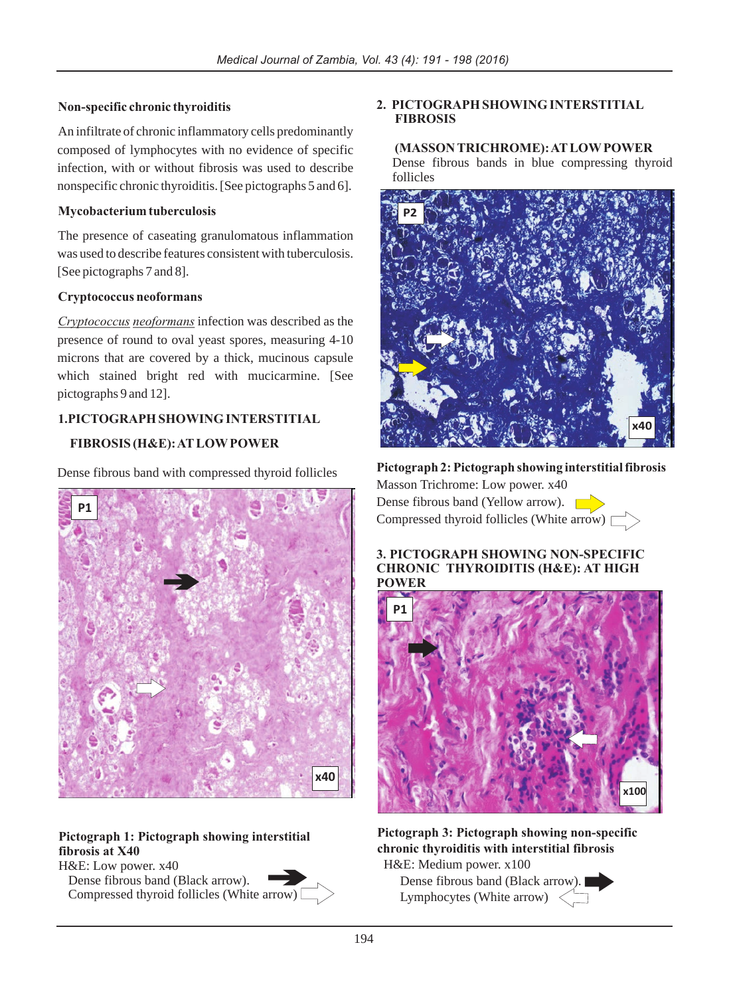## **Non-specific chronic thyroiditis**

An infiltrate of chronic inflammatory cells predominantly composed of lymphocytes with no evidence of specific infection, with or without fibrosis was used to describe nonspecific chronic thyroiditis. [See pictographs 5 and 6].

#### **Mycobacterium tuberculosis**

The presence of caseating granulomatous inflammation was used to describe features consistent with tuberculosis. [See pictographs 7 and 8].

## **Cryptococcus neoformans**

*Cryptococcus neoformans* infection was described as the presence of round to oval yeast spores, measuring 4-10 microns that are covered by a thick, mucinous capsule which stained bright red with mucicarmine. [See pictographs 9 and 12].

# **1.PICTOGRAPH SHOWING INTERSTITIAL**

# **FIBROSIS (H&E): AT LOW POWER**

Dense fibrous band with compressed thyroid follicles



# **Pictograph 1: Pictograph showing interstitial fibrosis at X40**

H&E: Low power. x40

 Dense fibrous band (Black arrow). Compressed thyroid follicles (White arrow)

#### **2. PICTOGRAPH SHOWING INTERSTITIAL FIBROSIS**

#### **(MASSON TRICHROME): AT LOW POWER**

 Dense fibrous bands in blue compressing thyroid follicles



**Pictograph 2: Pictograph showing interstitial fibrosis** Masson Trichrome: Low power. x40 Dense fibrous band (Yellow arrow). Compressed thyroid follicles (White arrow)  $\Box$ 

#### **3. PICTOGRAPH SHOWING NON-SPECIFIC CHRONIC THYROIDITIS (H&E): AT HIGH POWER**



**Pictograph 3: Pictograph showing non-specific chronic thyroiditis with interstitial fibrosis** H&E: Medium power. x100

 Dense fibrous band (Black arrow). Lymphocytes (White arrow)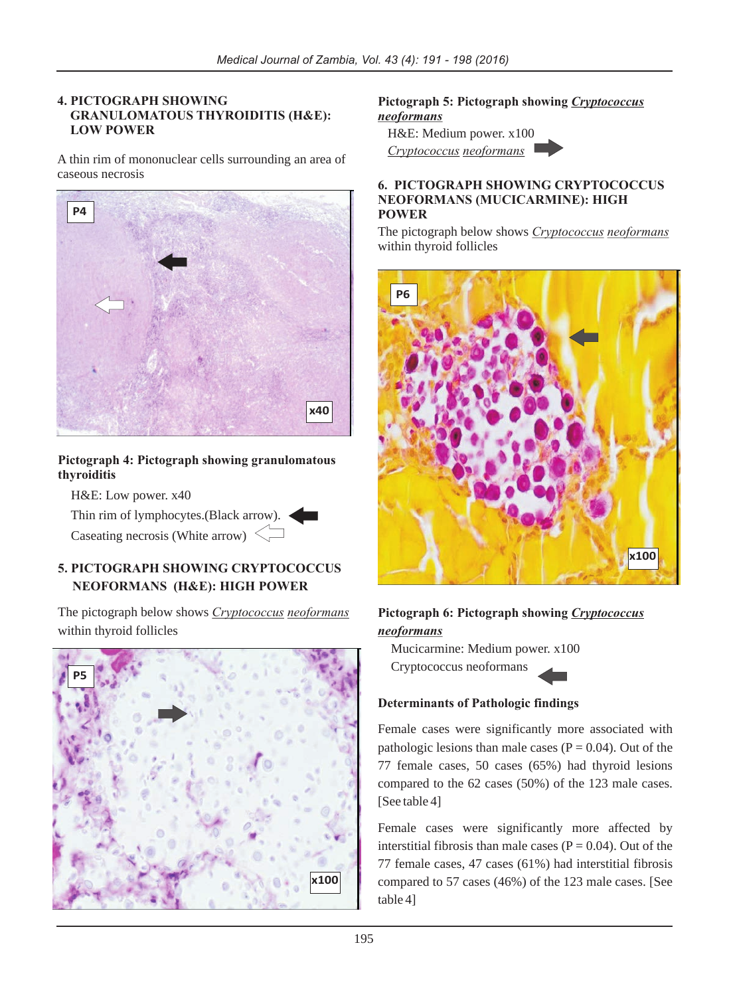#### **4. PICTOGRAPH SHOWING GRANULOMATOUS THYROIDITIS (H&E): LOW POWER**

A thin rim of mononuclear cells surrounding an area of caseous necrosis



#### **Pictograph 4: Pictograph showing granulomatous thyroiditis**

H&E: Low power. x40

 Thin rim of lymphocytes.(Black arrow). Caseating necrosis (White arrow)  $\leq$ 

# **5. PICTOGRAPH SHOWING CRYPTOCOCCUS NEOFORMANS (H&E): HIGH POWER**

The pictograph below shows *Cryptococcus neoformans* within thyroid follicles



## **Pictograph 5: Pictograph showing** *Cryptococcus neoformans*

 H&E: Medium power. x100  *Cryptococcus neoformans*

#### **6. PICTOGRAPH SHOWING CRYPTOCOCCUS NEOFORMANS (MUCICARMINE): HIGH POWER**

The pictograph below shows *Cryptococcus neoformans* within thyroid follicles



# **Pictograph 6: Pictograph showing** *Cryptococcus neoformans*

 Mucicarmine: Medium power. x100 Cryptococcus neoformans

# **Determinants of Pathologic findings**

Female cases were significantly more associated with pathologic lesions than male cases ( $P = 0.04$ ). Out of the 77 female cases, 50 cases (65%) had thyroid lesions compared to the 62 cases (50%) of the 123 male cases. [See table 4]

Female cases were significantly more affected by interstitial fibrosis than male cases ( $P = 0.04$ ). Out of the 77 female cases, 47 cases (61%) had interstitial fibrosis compared to 57 cases (46%) of the 123 male cases. [See table 4]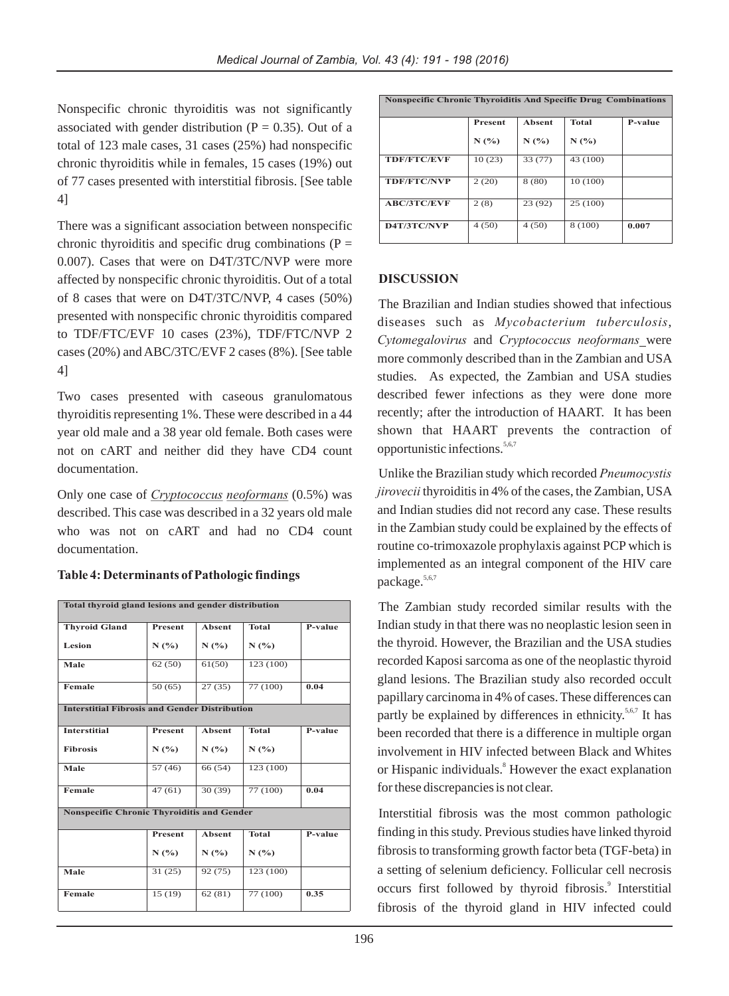Nonspecific chronic thyroiditis was not significantly associated with gender distribution ( $P = 0.35$ ). Out of a total of 123 male cases, 31 cases (25%) had nonspecific chronic thyroiditis while in females, 15 cases (19%) out of 77 cases presented with interstitial fibrosis. [See table 4]

There was a significant association between nonspecific chronic thyroiditis and specific drug combinations ( $P =$ 0.007). Cases that were on D4T/3TC/NVP were more affected by nonspecific chronic thyroiditis. Out of a total of 8 cases that were on D4T/3TC/NVP, 4 cases (50%) presented with nonspecific chronic thyroiditis compared to TDF/FTC/EVF 10 cases (23%), TDF/FTC/NVP 2 cases (20%) and ABC/3TC/EVF 2 cases (8%). [See table 4]

Two cases presented with caseous granulomatous thyroiditis representing 1%. These were described in a 44 year old male and a 38 year old female. Both cases were not on cART and neither did they have CD4 count documentation.

Only one case of *Cryptococcus neoformans* (0.5%) was described. This case was described in a 32 years old male who was not on cART and had no CD4 count documentation.

| Total thyroid gland lesions and gender distribution  |                |               |              |         |
|------------------------------------------------------|----------------|---------------|--------------|---------|
| <b>Thyroid Gland</b>                                 | Present        | <b>Absent</b> | <b>Total</b> | P-value |
| Lesion                                               | N(%)           | N(%)          | N(%)         |         |
| Male                                                 | 62(50)         | 61(50)        | 123 (100)    |         |
| Female                                               | 50(65)         | 27(35)        | 77 (100)     | 0.04    |
| <b>Interstitial Fibrosis and Gender Distribution</b> |                |               |              |         |
| <b>Interstitial</b>                                  | <b>Present</b> | <b>Absent</b> | <b>Total</b> | P-value |
| <b>Fibrosis</b>                                      | N(%)           | N(%)          | N(%)         |         |
| Male                                                 | 57 (46)        | 66 (54)       | 123 (100)    |         |
| Female                                               | 47(61)         | 30(39)        | 77 (100)     | 0.04    |
| <b>Nonspecific Chronic Thyroiditis and Gender</b>    |                |               |              |         |
|                                                      | Present        | Absent        | <b>Total</b> | P-value |
|                                                      | N(%)           | N(%)          | N(%)         |         |
| Male                                                 | 31(25)         | 92 (75)       | 123 (100)    |         |
| Female                                               | 15(19)         | 62(81)        | 77 (100)     | 0.35    |

| <b>Nonspecific Chronic Thyroiditis And Specific Drug Combinations</b> |                |         |              |         |
|-----------------------------------------------------------------------|----------------|---------|--------------|---------|
|                                                                       | <b>Present</b> | Absent  | <b>Total</b> | P-value |
|                                                                       | N(%)           | N(%)    | N(%)         |         |
| <b>TDF/FTC/EVF</b>                                                    | 10(23)         | 33 (77) | 43 (100)     |         |
| <b>TDF/FTC/NVP</b>                                                    | 2(20)          | 8 (80)  | 10(100)      |         |
| <b>ABC/3TC/EVF</b>                                                    | 2(8)           | 23(92)  | 25 (100)     |         |
| D4T/3TC/NVP                                                           | 4(50)          | 4(50)   | 8 (100)      | 0.007   |

#### **DISCUSSION**

The Brazilian and Indian studies showed that infectious diseases such as *Mycobacterium tuberculosis*, *Cytomegalovirus* and *Cryptococcus neoformans* were more commonly described than in the Zambian and USA studies. As expected, the Zambian and USA studies described fewer infections as they were done more recently; after the introduction of HAART. It has been shown that HAART prevents the contraction of 5,6,7 opportunistic infections.

Unlike the Brazilian study which recorded *Pneumocystis jirovecii* thyroiditis in 4% of the cases, the Zambian, USA and Indian studies did not record any case. These results in the Zambian study could be explained by the effects of routine co-trimoxazole prophylaxis against PCP which is implemented as an integral component of the HIV care 5,6,7 package.

The Zambian study recorded similar results with the Indian study in that there was no neoplastic lesion seen in the thyroid. However, the Brazilian and the USA studies recorded Kaposi sarcoma as one of the neoplastic thyroid gland lesions. The Brazilian study also recorded occult papillary carcinoma in 4% of cases. These differences can partly be explained by differences in ethnicity.<sup>5,6,7</sup> It has been recorded that there is a difference in multiple organ involvement in HIV infected between Black and Whites or Hispanic individuals.<sup>8</sup> However the exact explanation for these discrepancies is not clear.

Interstitial fibrosis was the most common pathologic finding in this study. Previous studies have linked thyroid fibrosis to transforming growth factor beta (TGF-beta) in a setting of selenium deficiency. Follicular cell necrosis occurs first followed by thyroid fibrosis.<sup>9</sup> Interstitial fibrosis of the thyroid gland in HIV infected could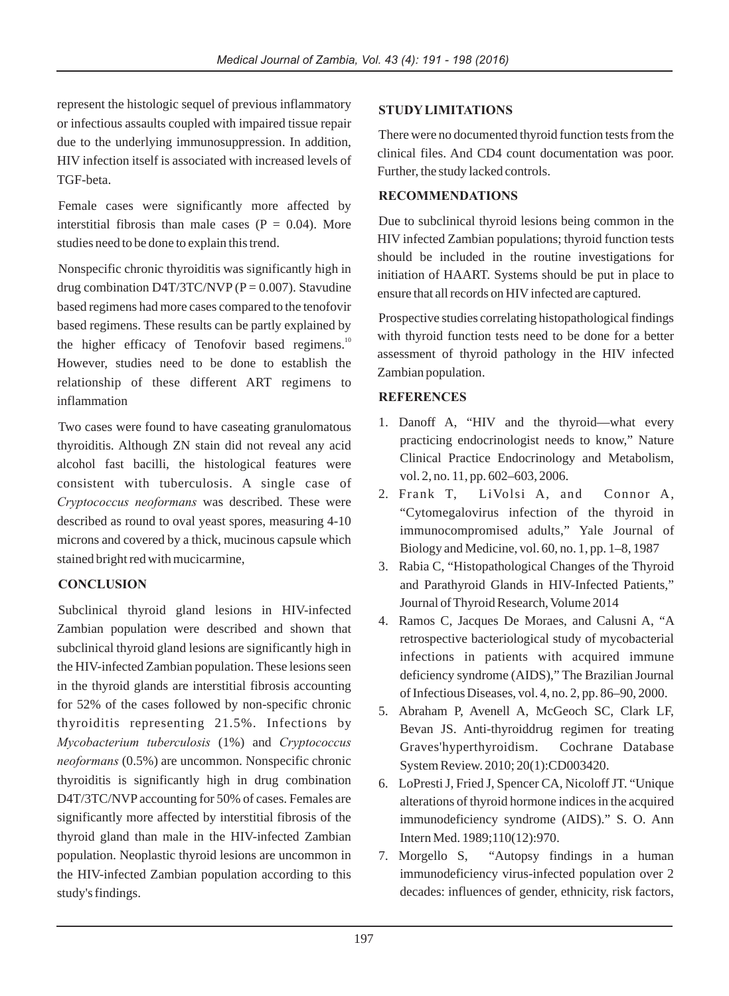represent the histologic sequel of previous inflammatory or infectious assaults coupled with impaired tissue repair due to the underlying immunosuppression. In addition, HIV infection itself is associated with increased levels of TGF-beta.

Female cases were significantly more affected by interstitial fibrosis than male cases  $(P = 0.04)$ . More studies need to be done to explain this trend.

Nonspecific chronic thyroiditis was significantly high in drug combination  $D4T/3TC/NVP (P = 0.007)$ . Stavudine based regimens had more cases compared to the tenofovir based regimens. These results can be partly explained by the higher efficacy of Tenofovir based regimens. $10$ However, studies need to be done to establish the relationship of these different ART regimens to inflammation

Two cases were found to have caseating granulomatous thyroiditis. Although ZN stain did not reveal any acid alcohol fast bacilli, the histological features were consistent with tuberculosis. A single case of *Cryptococcus neoformans* was described. These were described as round to oval yeast spores, measuring 4-10 microns and covered by a thick, mucinous capsule which stained bright red with mucicarmine,

# **CONCLUSION**

Subclinical thyroid gland lesions in HIV-infected Zambian population were described and shown that subclinical thyroid gland lesions are significantly high in the HIV-infected Zambian population. These lesions seen in the thyroid glands are interstitial fibrosis accounting for 52% of the cases followed by non-specific chronic thyroiditis representing 21.5%. Infections by *Mycobacterium tuberculosis* (1%) and *Cryptococcus neoformans* (0.5%) are uncommon. Nonspecific chronic thyroiditis is significantly high in drug combination D4T/3TC/NVP accounting for 50% of cases. Females are significantly more affected by interstitial fibrosis of the thyroid gland than male in the HIV-infected Zambian population. Neoplastic thyroid lesions are uncommon in the HIV-infected Zambian population according to this study's findings.

# **STUDY LIMITATIONS**

There were no documented thyroid function tests from the clinical files. And CD4 count documentation was poor. Further, the study lacked controls.

#### **RECOMMENDATIONS**

Due to subclinical thyroid lesions being common in the HIV infected Zambian populations; thyroid function tests should be included in the routine investigations for initiation of HAART. Systems should be put in place to ensure that all records on HIV infected are captured.

Prospective studies correlating histopathological findings with thyroid function tests need to be done for a better assessment of thyroid pathology in the HIV infected Zambian population.

## **REFERENCES**

- 1. Danoff A, "HIV and the thyroid—what every practicing endocrinologist needs to know," Nature Clinical Practice Endocrinology and Metabolism, vol. 2, no. 11, pp. 602–603, 2006.
- 2. Frank T, LiVolsi A, and Connor A, "Cytomegalovirus infection of the thyroid in immunocompromised adults," Yale Journal of Biology and Medicine, vol. 60, no. 1, pp. 1–8, 1987
- 3. Rabia C, "Histopathological Changes of the Thyroid and Parathyroid Glands in HIV-Infected Patients," Journal of Thyroid Research, Volume 2014
- 4. Ramos C, Jacques De Moraes, and Calusni A, "A retrospective bacteriological study of mycobacterial infections in patients with acquired immune deficiency syndrome (AIDS)," The Brazilian Journal of Infectious Diseases, vol. 4, no. 2, pp. 86–90, 2000.
- 5. Abraham P, Avenell A, McGeoch SC, Clark LF, Bevan JS. Anti-thyroiddrug regimen for treating Graves'hyperthyroidism. Cochrane Database System Review. 2010; 20(1):CD003420.
- 6. LoPresti J, Fried J, Spencer CA, Nicoloff JT. "Unique alterations of thyroid hormone indices in the acquired immunodeficiency syndrome (AIDS)." S. O. Ann Intern Med. 1989;110(12):970.
- 7. Morgello S, "Autopsy findings in a human immunodeficiency virus-infected population over 2 decades: influences of gender, ethnicity, risk factors,